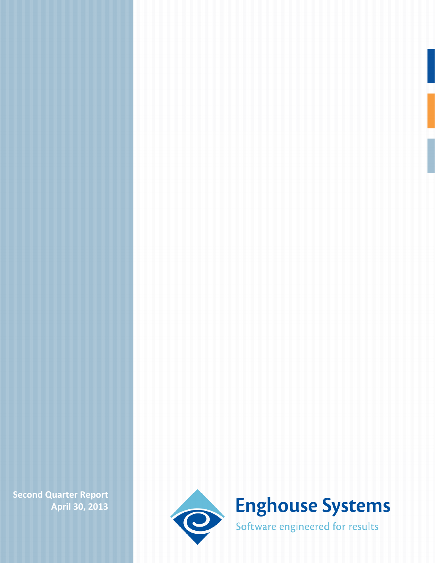**Second Quarter Report April 30, 2013**

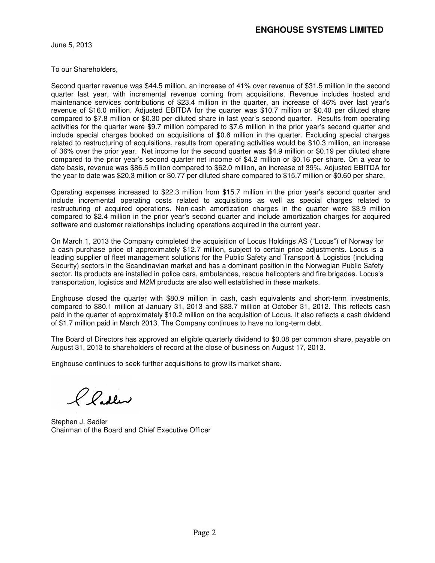June 5, 2013

To our Shareholders,

Second quarter revenue was \$44.5 million, an increase of 41% over revenue of \$31.5 million in the second quarter last year, with incremental revenue coming from acquisitions. Revenue includes hosted and maintenance services contributions of \$23.4 million in the quarter, an increase of 46% over last year's revenue of \$16.0 million. Adjusted EBITDA for the quarter was \$10.7 million or \$0.40 per diluted share compared to \$7.8 million or \$0.30 per diluted share in last year's second quarter. Results from operating activities for the quarter were \$9.7 million compared to \$7.6 million in the prior year's second quarter and include special charges booked on acquisitions of \$0.6 million in the quarter. Excluding special charges related to restructuring of acquisitions, results from operating activities would be \$10.3 million, an increase of 36% over the prior year. Net income for the second quarter was \$4.9 million or \$0.19 per diluted share compared to the prior year's second quarter net income of \$4.2 million or \$0.16 per share. On a year to date basis, revenue was \$86.5 million compared to \$62.0 million, an increase of 39%. Adjusted EBITDA for the year to date was \$20.3 million or \$0.77 per diluted share compared to \$15.7 million or \$0.60 per share.

Operating expenses increased to \$22.3 million from \$15.7 million in the prior year's second quarter and include incremental operating costs related to acquisitions as well as special charges related to restructuring of acquired operations. Non-cash amortization charges in the quarter were \$3.9 million compared to \$2.4 million in the prior year's second quarter and include amortization charges for acquired software and customer relationships including operations acquired in the current year.

On March 1, 2013 the Company completed the acquisition of Locus Holdings AS ("Locus") of Norway for a cash purchase price of approximately \$12.7 million, subject to certain price adjustments. Locus is a leading supplier of fleet management solutions for the Public Safety and Transport & Logistics (including Security) sectors in the Scandinavian market and has a dominant position in the Norwegian Public Safety sector. Its products are installed in police cars, ambulances, rescue helicopters and fire brigades. Locus's transportation, logistics and M2M products are also well established in these markets.

Enghouse closed the quarter with \$80.9 million in cash, cash equivalents and short-term investments, compared to \$80.1 million at January 31, 2013 and \$83.7 million at October 31, 2012. This reflects cash paid in the quarter of approximately \$10.2 million on the acquisition of Locus. It also reflects a cash dividend of \$1.7 million paid in March 2013. The Company continues to have no long-term debt.

The Board of Directors has approved an eligible quarterly dividend to \$0.08 per common share, payable on August 31, 2013 to shareholders of record at the close of business on August 17, 2013.

Enghouse continues to seek further acquisitions to grow its market share.

*l* laden

Stephen J. Sadler Chairman of the Board and Chief Executive Officer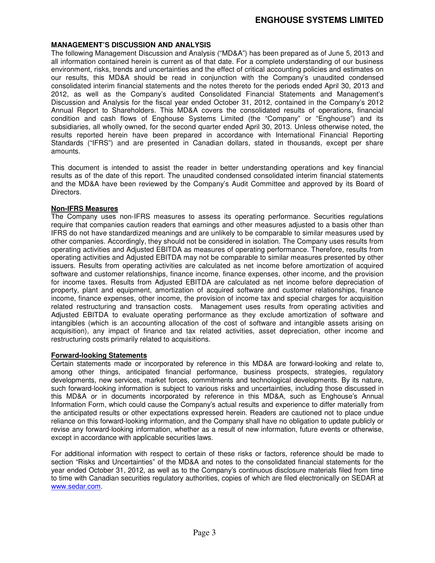# **ENGHOUSE SYSTEMS LIMITED**

#### **MANAGEMENT'S DISCUSSION AND ANALYSIS**

The following Management Discussion and Analysis ("MD&A") has been prepared as of June 5, 2013 and all information contained herein is current as of that date. For a complete understanding of our business environment, risks, trends and uncertainties and the effect of critical accounting policies and estimates on our results, this MD&A should be read in conjunction with the Company's unaudited condensed consolidated interim financial statements and the notes thereto for the periods ended April 30, 2013 and 2012, as well as the Company's audited Consolidated Financial Statements and Management's Discussion and Analysis for the fiscal year ended October 31, 2012, contained in the Company's 2012 Annual Report to Shareholders. This MD&A covers the consolidated results of operations, financial condition and cash flows of Enghouse Systems Limited (the "Company" or "Enghouse") and its subsidiaries, all wholly owned, for the second quarter ended April 30, 2013. Unless otherwise noted, the results reported herein have been prepared in accordance with International Financial Reporting Standards ("IFRS") and are presented in Canadian dollars, stated in thousands, except per share amounts.

This document is intended to assist the reader in better understanding operations and key financial results as of the date of this report. The unaudited condensed consolidated interim financial statements and the MD&A have been reviewed by the Company's Audit Committee and approved by its Board of Directors.

#### **Non-IFRS Measures**

The Company uses non-IFRS measures to assess its operating performance. Securities regulations require that companies caution readers that earnings and other measures adjusted to a basis other than IFRS do not have standardized meanings and are unlikely to be comparable to similar measures used by other companies. Accordingly, they should not be considered in isolation. The Company uses results from operating activities and Adjusted EBITDA as measures of operating performance. Therefore, results from operating activities and Adjusted EBITDA may not be comparable to similar measures presented by other issuers. Results from operating activities are calculated as net income before amortization of acquired software and customer relationships, finance income, finance expenses, other income, and the provision for income taxes. Results from Adjusted EBITDA are calculated as net income before depreciation of property, plant and equipment, amortization of acquired software and customer relationships, finance income, finance expenses, other income, the provision of income tax and special charges for acquisition related restructuring and transaction costs. Management uses results from operating activities and Adjusted EBITDA to evaluate operating performance as they exclude amortization of software and intangibles (which is an accounting allocation of the cost of software and intangible assets arising on acquisition), any impact of finance and tax related activities, asset depreciation, other income and restructuring costs primarily related to acquisitions.

#### **Forward-looking Statements**

Certain statements made or incorporated by reference in this MD&A are forward-looking and relate to, among other things, anticipated financial performance, business prospects, strategies, regulatory developments, new services, market forces, commitments and technological developments. By its nature, such forward-looking information is subject to various risks and uncertainties, including those discussed in this MD&A or in documents incorporated by reference in this MD&A, such as Enghouse's Annual Information Form, which could cause the Company's actual results and experience to differ materially from the anticipated results or other expectations expressed herein. Readers are cautioned not to place undue reliance on this forward-looking information, and the Company shall have no obligation to update publicly or revise any forward-looking information, whether as a result of new information, future events or otherwise, except in accordance with applicable securities laws.

For additional information with respect to certain of these risks or factors, reference should be made to section "Risks and Uncertainties" of the MD&A and notes to the consolidated financial statements for the year ended October 31, 2012, as well as to the Company's continuous disclosure materials filed from time to time with Canadian securities regulatory authorities, copies of which are filed electronically on SEDAR at www.sedar.com.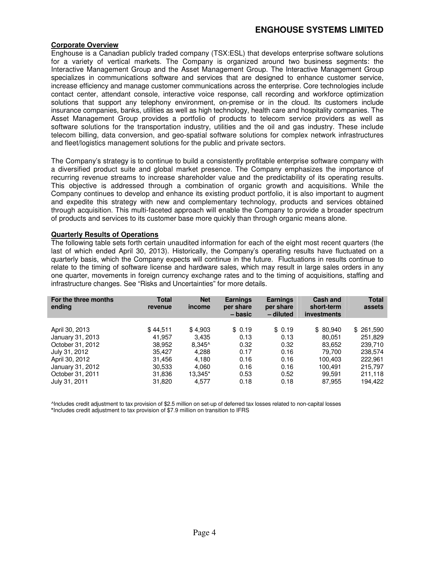## **ENGHOUSE SYSTEMS LIMITED**

#### **Corporate Overview**

Enghouse is a Canadian publicly traded company (TSX:ESL) that develops enterprise software solutions for a variety of vertical markets. The Company is organized around two business segments: the Interactive Management Group and the Asset Management Group. The Interactive Management Group specializes in communications software and services that are designed to enhance customer service, increase efficiency and manage customer communications across the enterprise. Core technologies include contact center, attendant console, interactive voice response, call recording and workforce optimization solutions that support any telephony environment, on-premise or in the cloud. Its customers include insurance companies, banks, utilities as well as high technology, health care and hospitality companies. The Asset Management Group provides a portfolio of products to telecom service providers as well as software solutions for the transportation industry, utilities and the oil and gas industry. These include telecom billing, data conversion, and geo-spatial software solutions for complex network infrastructures and fleet/logistics management solutions for the public and private sectors.

The Company's strategy is to continue to build a consistently profitable enterprise software company with a diversified product suite and global market presence. The Company emphasizes the importance of recurring revenue streams to increase shareholder value and the predictability of its operating results. This objective is addressed through a combination of organic growth and acquisitions. While the Company continues to develop and enhance its existing product portfolio, it is also important to augment and expedite this strategy with new and complementary technology, products and services obtained through acquisition. This multi-faceted approach will enable the Company to provide a broader spectrum of products and services to its customer base more quickly than through organic means alone.

#### **Quarterly Results of Operations**

The following table sets forth certain unaudited information for each of the eight most recent quarters (the last of which ended April 30, 2013). Historically, the Company's operating results have fluctuated on a quarterly basis, which the Company expects will continue in the future. Fluctuations in results continue to relate to the timing of software license and hardware sales, which may result in large sales orders in any one quarter, movements in foreign currency exchange rates and to the timing of acquisitions, staffing and infrastructure changes. See "Risks and Uncertainties" for more details.

| For the three months<br>ending | <b>Total</b><br>revenue | <b>Net</b><br>income | <b>Earnings</b><br>per share<br>– basic | <b>Earnings</b><br>per share<br>- diluted | <b>Cash and</b><br>short-term<br><b>investments</b> | <b>Total</b><br>assets |
|--------------------------------|-------------------------|----------------------|-----------------------------------------|-------------------------------------------|-----------------------------------------------------|------------------------|
| April 30, 2013                 | \$44,511                | \$4,903              | \$0.19                                  | \$0.19                                    | \$80.940                                            | \$261,590              |
| January 31, 2013               | 41.957                  | 3.435                | 0.13                                    | 0.13                                      | 80.051                                              | 251.829                |
| October 31, 2012               | 38,952                  | $8,345^{\circ}$      | 0.32                                    | 0.32                                      | 83,652                                              | 239,710                |
| July 31, 2012                  | 35.427                  | 4,288                | 0.17                                    | 0.16                                      | 79.700                                              | 238.574                |
| April 30, 2012                 | 31.456                  | 4.180                | 0.16                                    | 0.16                                      | 100.403                                             | 222.961                |
| January 31, 2012               | 30,533                  | 4.060                | 0.16                                    | 0.16                                      | 100.491                                             | 215.797                |
| October 31, 2011               | 31,836                  | 13.345*              | 0.53                                    | 0.52                                      | 99.591                                              | 211.118                |
| July 31, 2011                  | 31,820                  | 4,577                | 0.18                                    | 0.18                                      | 87,955                                              | 194.422                |

^Includes credit adjustment to tax provision of \$2.5 million on set-up of deferred tax losses related to non-capital losses **\***Includes credit adjustment to tax provision of \$7.9 million on transition to IFRS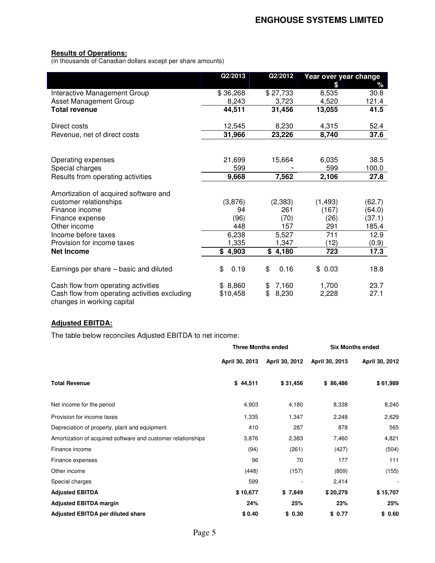# **Results of Operations:**

(in thousands of Canadian dollars except per share amounts)

|                                                                             | Q2/2013    | Q2/2012     | Year over year change |        |
|-----------------------------------------------------------------------------|------------|-------------|-----------------------|--------|
|                                                                             |            |             | \$                    | ℅      |
| Interactive Management Group                                                | \$36,268   | \$27,733    | 8,535                 | 30.8   |
| Asset Management Group                                                      | 8,243      | 3,723       | 4,520                 | 121.4  |
| <b>Total revenue</b>                                                        | 44,511     | 31,456      | 13,055                | 41.5   |
| Direct costs                                                                | 12,545     | 8,230       | 4,315                 | 52.4   |
| Revenue, net of direct costs                                                | 31,966     | 23,226      | 8,740                 | 37.6   |
|                                                                             |            |             |                       |        |
| Operating expenses                                                          | 21,699     | 15,664      | 6,035                 | 38.5   |
| Special charges                                                             | 599        |             | 599                   | 100.0  |
| Results from operating activities                                           | 9,668      | 7,562       | 2,106                 | 27.8   |
| Amortization of acquired software and                                       |            |             |                       |        |
| customer relationships                                                      | (3,876)    | (2, 383)    | (1, 493)              | (62.7) |
| Finance income                                                              | 94         | 261         | (167)                 | (64.0) |
| Finance expense                                                             | (96)       | (70)        | (26)                  | (37.1) |
| Other income                                                                | 448        | 157         | 291                   | 185.4  |
| Income before taxes                                                         | 6,238      | 5,527       | 711                   | 12.9   |
| Provision for income taxes                                                  | 1,335      | 1,347       | (12)                  | (0.9)  |
| <b>Net Income</b>                                                           | \$4,903    | \$4,180     | 723                   | 17.3   |
| Earnings per share - basic and diluted                                      | \$<br>0.19 | \$<br>0.16  | \$0.03                | 18.8   |
| Cash flow from operating activities                                         | \$8,860    | 7,160<br>\$ | 1,700                 | 23.7   |
| Cash flow from operating activities excluding<br>changes in working capital | \$10,458   | \$<br>8,230 | 2,228                 | 27.1   |

#### **Adjusted EBITDA:**

The table below reconciles Adjusted EBITDA to net income:

|                                                              | <b>Three Months ended</b> |                | <b>Six Months ended</b> |                          |
|--------------------------------------------------------------|---------------------------|----------------|-------------------------|--------------------------|
|                                                              | April 30, 2013            | April 30, 2012 | April 30, 2013          | April 30, 2012           |
| <b>Total Revenue</b>                                         | \$44,511                  | \$31,456       | \$86,486                | \$61,989                 |
| Net income for the period                                    | 4,903                     | 4,180          | 8,338                   | 8,240                    |
| Provision for income taxes                                   | 1,335                     | 1,347          | 2,248                   | 2,629                    |
| Depreciation of property, plant and equipment                | 410                       | 287            | 878                     | 565                      |
| Amortization of acquired software and customer relationships | 3,876                     | 2,383          | 7,460                   | 4,821                    |
| Finance income                                               | (94)                      | (261)          | (427)                   | (504)                    |
| Finance expenses                                             | 96                        | 70             | 177                     | 111                      |
| Other income                                                 | (448)                     | (157)          | (809)                   | (155)                    |
| Special charges                                              | 599                       |                | 2,414                   | $\overline{\phantom{a}}$ |
| <b>Adjusted EBITDA</b>                                       | \$10,677                  | \$7,849        | \$20,279                | \$15,707                 |
| <b>Adjusted EBITDA margin</b>                                | 24%                       | 25%            | 23%                     | 25%                      |
| <b>Adjusted EBITDA per diluted share</b>                     | \$0.40                    | \$0.30         | \$0.77                  | \$0.60                   |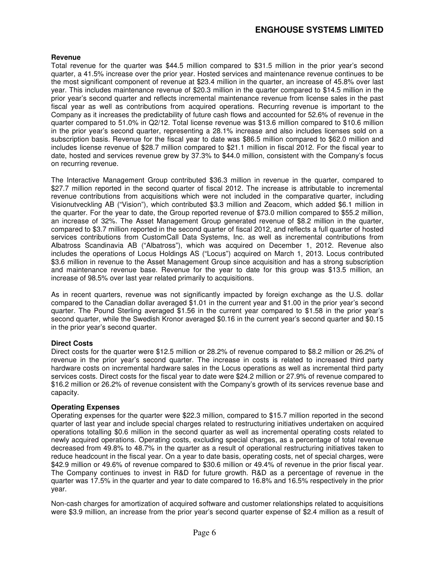## **ENGHOUSE SYSTEMS LIMITED**

#### **Revenue**

Total revenue for the quarter was \$44.5 million compared to \$31.5 million in the prior year's second quarter, a 41.5% increase over the prior year. Hosted services and maintenance revenue continues to be the most significant component of revenue at \$23.4 million in the quarter, an increase of 45.8% over last year. This includes maintenance revenue of \$20.3 million in the quarter compared to \$14.5 million in the prior year's second quarter and reflects incremental maintenance revenue from license sales in the past fiscal year as well as contributions from acquired operations. Recurring revenue is important to the Company as it increases the predictability of future cash flows and accounted for 52.6% of revenue in the quarter compared to 51.0% in Q2/12. Total license revenue was \$13.6 million compared to \$10.6 million in the prior year's second quarter, representing a 28.1% increase and also includes licenses sold on a subscription basis. Revenue for the fiscal year to date was \$86.5 million compared to \$62.0 million and includes license revenue of \$28.7 million compared to \$21.1 million in fiscal 2012. For the fiscal year to date, hosted and services revenue grew by 37.3% to \$44.0 million, consistent with the Company's focus on recurring revenue.

The Interactive Management Group contributed \$36.3 million in revenue in the quarter, compared to \$27.7 million reported in the second quarter of fiscal 2012. The increase is attributable to incremental revenue contributions from acquisitions which were not included in the comparative quarter, including Visionutveckling AB ("Vision"), which contributed \$3.3 million and Zeacom, which added \$6.1 million in the quarter. For the year to date, the Group reported revenue of \$73.0 million compared to \$55.2 million, an increase of 32%. The Asset Management Group generated revenue of \$8.2 million in the quarter, compared to \$3.7 million reported in the second quarter of fiscal 2012, and reflects a full quarter of hosted services contributions from CustomCall Data Systems, Inc. as well as incremental contributions from Albatross Scandinavia AB ("Albatross"), which was acquired on December 1, 2012. Revenue also includes the operations of Locus Holdings AS ("Locus") acquired on March 1, 2013. Locus contributed \$3.6 million in revenue to the Asset Management Group since acquisition and has a strong subscription and maintenance revenue base. Revenue for the year to date for this group was \$13.5 million, an increase of 98.5% over last year related primarily to acquisitions.

As in recent quarters, revenue was not significantly impacted by foreign exchange as the U.S. dollar compared to the Canadian dollar averaged \$1.01 in the current year and \$1.00 in the prior year's second quarter. The Pound Sterling averaged \$1.56 in the current year compared to \$1.58 in the prior year's second quarter, while the Swedish Kronor averaged \$0.16 in the current year's second quarter and \$0.15 in the prior year's second quarter.

#### **Direct Costs**

Direct costs for the quarter were \$12.5 million or 28.2% of revenue compared to \$8.2 million or 26.2% of revenue in the prior year's second quarter. The increase in costs is related to increased third party hardware costs on incremental hardware sales in the Locus operations as well as incremental third party services costs. Direct costs for the fiscal year to date were \$24.2 million or 27.9% of revenue compared to \$16.2 million or 26.2% of revenue consistent with the Company's growth of its services revenue base and capacity.

#### **Operating Expenses**

Operating expenses for the quarter were \$22.3 million, compared to \$15.7 million reported in the second quarter of last year and include special charges related to restructuring initiatives undertaken on acquired operations totalling \$0.6 million in the second quarter as well as incremental operating costs related to newly acquired operations. Operating costs, excluding special charges, as a percentage of total revenue decreased from 49.8% to 48.7% in the quarter as a result of operational restructuring initiatives taken to reduce headcount in the fiscal year. On a year to date basis, operating costs, net of special charges, were \$42.9 million or 49.6% of revenue compared to \$30.6 million or 49.4% of revenue in the prior fiscal year. The Company continues to invest in R&D for future growth. R&D as a percentage of revenue in the quarter was 17.5% in the quarter and year to date compared to 16.8% and 16.5% respectively in the prior year.

Non-cash charges for amortization of acquired software and customer relationships related to acquisitions were \$3.9 million, an increase from the prior year's second quarter expense of \$2.4 million as a result of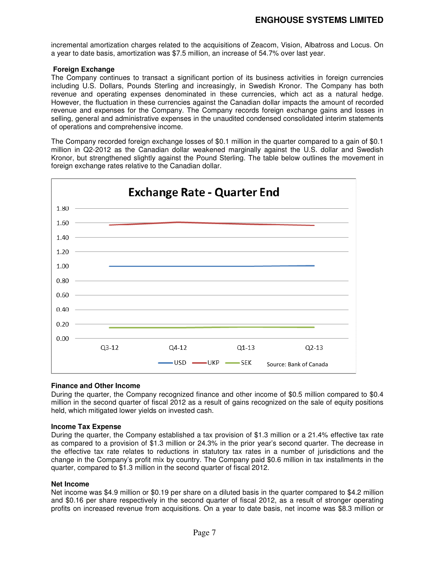incremental amortization charges related to the acquisitions of Zeacom, Vision, Albatross and Locus. On a year to date basis, amortization was \$7.5 million, an increase of 54.7% over last year.

#### **Foreign Exchange**

The Company continues to transact a significant portion of its business activities in foreign currencies including U.S. Dollars, Pounds Sterling and increasingly, in Swedish Kronor. The Company has both revenue and operating expenses denominated in these currencies, which act as a natural hedge. However, the fluctuation in these currencies against the Canadian dollar impacts the amount of recorded revenue and expenses for the Company. The Company records foreign exchange gains and losses in selling, general and administrative expenses in the unaudited condensed consolidated interim statements of operations and comprehensive income.

The Company recorded foreign exchange losses of \$0.1 million in the quarter compared to a gain of \$0.1 million in Q2-2012 as the Canadian dollar weakened marginally against the U.S. dollar and Swedish Kronor, but strengthened slightly against the Pound Sterling. The table below outlines the movement in foreign exchange rates relative to the Canadian dollar.



#### **Finance and Other Income**

During the quarter, the Company recognized finance and other income of \$0.5 million compared to \$0.4 million in the second quarter of fiscal 2012 as a result of gains recognized on the sale of equity positions held, which mitigated lower yields on invested cash.

#### **Income Tax Expense**

During the quarter, the Company established a tax provision of \$1.3 million or a 21.4% effective tax rate as compared to a provision of \$1.3 million or 24.3% in the prior year's second quarter. The decrease in the effective tax rate relates to reductions in statutory tax rates in a number of jurisdictions and the change in the Company's profit mix by country. The Company paid \$0.6 million in tax installments in the quarter, compared to \$1.3 million in the second quarter of fiscal 2012.

#### **Net Income**

Net income was \$4.9 million or \$0.19 per share on a diluted basis in the quarter compared to \$4.2 million and \$0.16 per share respectively in the second quarter of fiscal 2012, as a result of stronger operating profits on increased revenue from acquisitions. On a year to date basis, net income was \$8.3 million or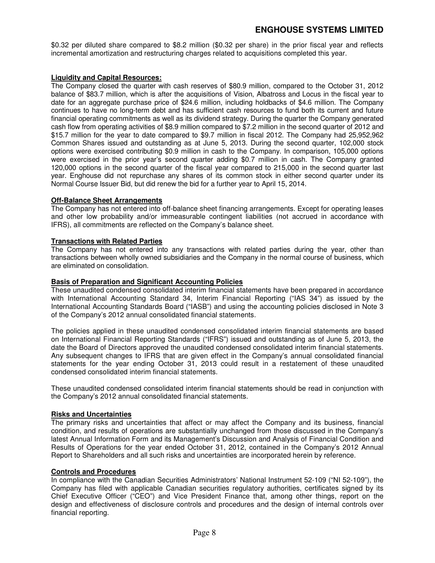# **ENGHOUSE SYSTEMS LIMITED**

\$0.32 per diluted share compared to \$8.2 million (\$0.32 per share) in the prior fiscal year and reflects incremental amortization and restructuring charges related to acquisitions completed this year.

#### **Liquidity and Capital Resources:**

The Company closed the quarter with cash reserves of \$80.9 million, compared to the October 31, 2012 balance of \$83.7 million, which is after the acquisitions of Vision, Albatross and Locus in the fiscal year to date for an aggregate purchase price of \$24.6 million, including holdbacks of \$4.6 million. The Company continues to have no long-term debt and has sufficient cash resources to fund both its current and future financial operating commitments as well as its dividend strategy. During the quarter the Company generated cash flow from operating activities of \$8.9 million compared to \$7.2 million in the second quarter of 2012 and \$15.7 million for the year to date compared to \$9.7 million in fiscal 2012. The Company had 25,952,962 Common Shares issued and outstanding as at June 5, 2013. During the second quarter, 102,000 stock options were exercised contributing \$0.9 million in cash to the Company. In comparison, 105,000 options were exercised in the prior year's second quarter adding \$0.7 million in cash. The Company granted 120,000 options in the second quarter of the fiscal year compared to 215,000 in the second quarter last year. Enghouse did not repurchase any shares of its common stock in either second quarter under its Normal Course Issuer Bid, but did renew the bid for a further year to April 15, 2014.

#### **Off-Balance Sheet Arrangements**

The Company has not entered into off-balance sheet financing arrangements. Except for operating leases and other low probability and/or immeasurable contingent liabilities (not accrued in accordance with IFRS), all commitments are reflected on the Company's balance sheet.

#### **Transactions with Related Parties**

The Company has not entered into any transactions with related parties during the year, other than transactions between wholly owned subsidiaries and the Company in the normal course of business, which are eliminated on consolidation.

#### **Basis of Preparation and Significant Accounting Policies**

These unaudited condensed consolidated interim financial statements have been prepared in accordance with International Accounting Standard 34, Interim Financial Reporting ("IAS 34") as issued by the International Accounting Standards Board ("IASB") and using the accounting policies disclosed in Note 3 of the Company's 2012 annual consolidated financial statements.

The policies applied in these unaudited condensed consolidated interim financial statements are based on International Financial Reporting Standards ("IFRS") issued and outstanding as of June 5, 2013, the date the Board of Directors approved the unaudited condensed consolidated interim financial statements. Any subsequent changes to IFRS that are given effect in the Company's annual consolidated financial statements for the year ending October 31, 2013 could result in a restatement of these unaudited condensed consolidated interim financial statements.

These unaudited condensed consolidated interim financial statements should be read in conjunction with the Company's 2012 annual consolidated financial statements.

#### **Risks and Uncertainties**

The primary risks and uncertainties that affect or may affect the Company and its business, financial condition, and results of operations are substantially unchanged from those discussed in the Company's latest Annual Information Form and its Management's Discussion and Analysis of Financial Condition and Results of Operations for the year ended October 31, 2012, contained in the Company's 2012 Annual Report to Shareholders and all such risks and uncertainties are incorporated herein by reference.

#### **Controls and Procedures**

In compliance with the Canadian Securities Administrators' National Instrument 52-109 ("NI 52-109"), the Company has filed with applicable Canadian securities regulatory authorities, certificates signed by its Chief Executive Officer ("CEO") and Vice President Finance that, among other things, report on the design and effectiveness of disclosure controls and procedures and the design of internal controls over financial reporting.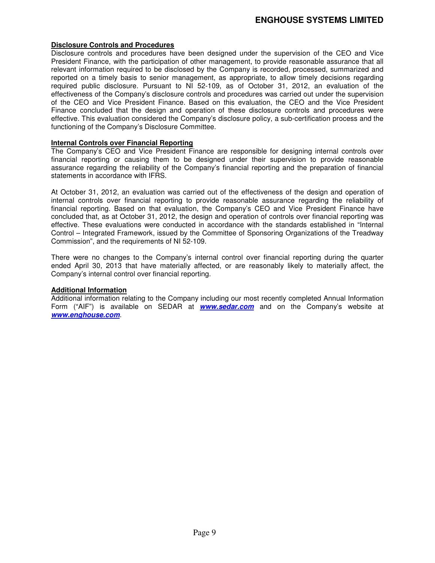#### **Disclosure Controls and Procedures**

Disclosure controls and procedures have been designed under the supervision of the CEO and Vice President Finance, with the participation of other management, to provide reasonable assurance that all relevant information required to be disclosed by the Company is recorded, processed, summarized and reported on a timely basis to senior management, as appropriate, to allow timely decisions regarding required public disclosure. Pursuant to NI 52-109, as of October 31, 2012, an evaluation of the effectiveness of the Company's disclosure controls and procedures was carried out under the supervision of the CEO and Vice President Finance. Based on this evaluation, the CEO and the Vice President Finance concluded that the design and operation of these disclosure controls and procedures were effective. This evaluation considered the Company's disclosure policy, a sub-certification process and the functioning of the Company's Disclosure Committee.

#### **Internal Controls over Financial Reporting**

The Company's CEO and Vice President Finance are responsible for designing internal controls over financial reporting or causing them to be designed under their supervision to provide reasonable assurance regarding the reliability of the Company's financial reporting and the preparation of financial statements in accordance with IFRS.

At October 31, 2012, an evaluation was carried out of the effectiveness of the design and operation of internal controls over financial reporting to provide reasonable assurance regarding the reliability of financial reporting. Based on that evaluation, the Company's CEO and Vice President Finance have concluded that, as at October 31, 2012, the design and operation of controls over financial reporting was effective. These evaluations were conducted in accordance with the standards established in "Internal Control – Integrated Framework, issued by the Committee of Sponsoring Organizations of the Treadway Commission", and the requirements of NI 52-109.

There were no changes to the Company's internal control over financial reporting during the quarter ended April 30, 2013 that have materially affected, or are reasonably likely to materially affect, the Company's internal control over financial reporting.

#### **Additional Information**

Additional information relating to the Company including our most recently completed Annual Information Form ("AIF") is available on SEDAR at **www.sedar.com** and on the Company's website at **www.enghouse.com**.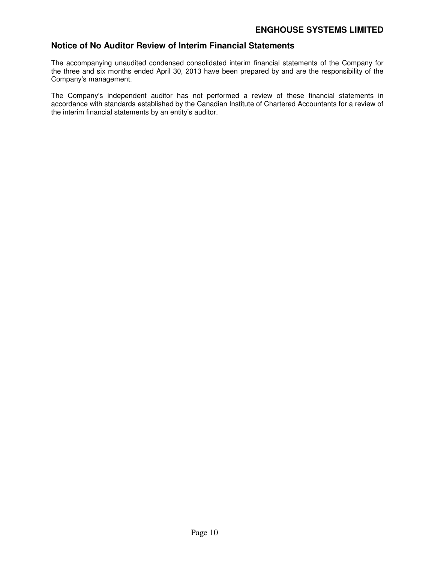## **Notice of No Auditor Review of Interim Financial Statements**

The accompanying unaudited condensed consolidated interim financial statements of the Company for the three and six months ended April 30, 2013 have been prepared by and are the responsibility of the Company's management.

The Company's independent auditor has not performed a review of these financial statements in accordance with standards established by the Canadian Institute of Chartered Accountants for a review of the interim financial statements by an entity's auditor.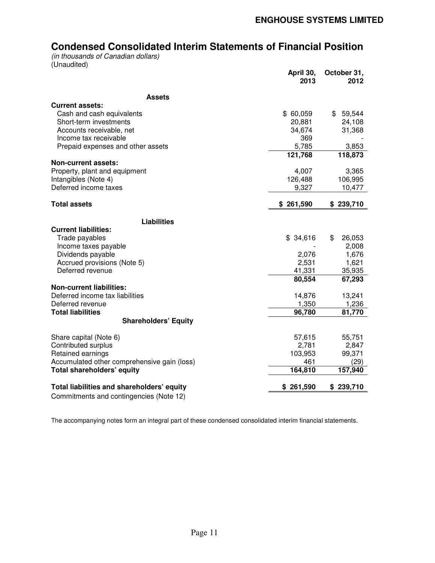# **Condensed Consolidated Interim Statements of Financial Position**

*(in thousands of Canadian dollars)*  (Unaudited)

|                                                                  | April 30,<br>2013 | October 31,<br>2012 |
|------------------------------------------------------------------|-------------------|---------------------|
| <b>Assets</b>                                                    |                   |                     |
| <b>Current assets:</b>                                           |                   |                     |
| Cash and cash equivalents                                        | \$60,059          | \$59,544            |
| Short-term investments                                           | 20,881            | 24,108              |
| Accounts receivable, net                                         | 34,674            | 31,368              |
| Income tax receivable                                            | 369               |                     |
| Prepaid expenses and other assets                                | 5,785             | 3,853               |
|                                                                  | 121,768           | 118,873             |
| <b>Non-current assets:</b>                                       |                   |                     |
| Property, plant and equipment                                    | 4,007             | 3,365               |
| Intangibles (Note 4)                                             | 126,488           | 106,995             |
| Deferred income taxes                                            | 9,327             | 10,477              |
| <b>Total assets</b>                                              | \$261,590         | \$239,710           |
|                                                                  |                   |                     |
| <b>Liabilities</b>                                               |                   |                     |
| <b>Current liabilities:</b>                                      |                   |                     |
| Trade payables                                                   | \$34,616          | \$<br>26,053        |
| Income taxes payable                                             |                   | 2,008               |
| Dividends payable                                                | 2,076             | 1,676               |
| Accrued provisions (Note 5)<br>Deferred revenue                  | 2,531             | 1,621               |
|                                                                  | 41,331<br>80,554  | 35,935<br>67,293    |
| <b>Non-current liabilities:</b>                                  |                   |                     |
| Deferred income tax liabilities                                  | 14,876            | 13,241              |
| Deferred revenue                                                 | 1,350             | 1,236               |
| <b>Total liabilities</b>                                         | 96,780            | 81,770              |
| <b>Shareholders' Equity</b>                                      |                   |                     |
|                                                                  |                   |                     |
| Share capital (Note 6)                                           | 57,615            | 55,751              |
| Contributed surplus                                              | 2,781             | 2,847               |
| Retained earnings<br>Accumulated other comprehensive gain (loss) | 103,953           | 99,371              |
| Total shareholders' equity                                       | 461<br>164,810    | (29)<br>157,940     |
|                                                                  |                   |                     |
| Total liabilities and shareholders' equity                       | \$261,590         | \$239,710           |
| Commitments and contingencies (Note 12)                          |                   |                     |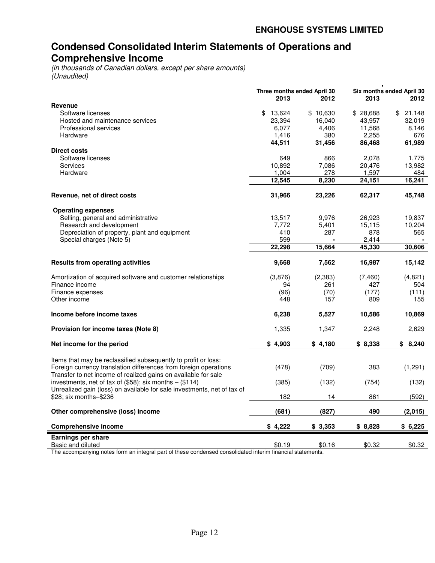# **Condensed Consolidated Interim Statements of Operations and Comprehensive Income**

*(in thousands of Canadian dollars, except per share amounts) (Unaudited)* 

| Revenue                                                                                                                                                                                                   | Three months ended April 30<br>2013 | 2012     | 2013     | Six months ended April 30<br>2012 |
|-----------------------------------------------------------------------------------------------------------------------------------------------------------------------------------------------------------|-------------------------------------|----------|----------|-----------------------------------|
| Software licenses                                                                                                                                                                                         | 13,624<br>\$                        | \$10,630 | \$28,688 | 21,148<br>\$                      |
| Hosted and maintenance services                                                                                                                                                                           | 23,394                              | 16,040   | 43,957   | 32,019                            |
| Professional services                                                                                                                                                                                     | 6,077                               | 4,406    | 11,568   | 8,146                             |
| Hardware                                                                                                                                                                                                  | 1,416                               | 380      | 2,255    | 676                               |
|                                                                                                                                                                                                           | 44,511                              | 31,456   | 86,468   | 61,989                            |
| <b>Direct costs</b>                                                                                                                                                                                       |                                     |          |          |                                   |
| Software licenses                                                                                                                                                                                         | 649                                 | 866      | 2,078    | 1,775                             |
| Services                                                                                                                                                                                                  | 10,892                              | 7,086    | 20,476   | 13,982                            |
| Hardware                                                                                                                                                                                                  | 1,004                               | 278      | 1,597    | 484                               |
|                                                                                                                                                                                                           | 12,545                              | 8,230    | 24,151   | 16,241                            |
|                                                                                                                                                                                                           |                                     |          |          |                                   |
| Revenue, net of direct costs                                                                                                                                                                              | 31,966                              | 23,226   | 62,317   | 45,748                            |
| <b>Operating expenses</b>                                                                                                                                                                                 |                                     |          |          |                                   |
| Selling, general and administrative                                                                                                                                                                       | 13,517                              | 9,976    | 26,923   | 19,837                            |
| Research and development                                                                                                                                                                                  | 7,772                               | 5,401    | 15,115   | 10,204                            |
| Depreciation of property, plant and equipment                                                                                                                                                             | 410                                 | 287      | 878      | 565                               |
| Special charges (Note 5)                                                                                                                                                                                  | 599                                 |          | 2,414    |                                   |
|                                                                                                                                                                                                           | 22,298                              | 15,664   | 45,330   | 30,606                            |
| <b>Results from operating activities</b>                                                                                                                                                                  | 9,668                               | 7,562    | 16,987   | 15,142                            |
|                                                                                                                                                                                                           |                                     |          |          |                                   |
| Amortization of acquired software and customer relationships                                                                                                                                              | (3,876)                             | (2, 383) | (7, 460) | (4,821)                           |
| Finance income                                                                                                                                                                                            | 94                                  | 261      | 427      | 504                               |
| Finance expenses                                                                                                                                                                                          | (96)                                | (70)     | (177)    | (111)                             |
| Other income                                                                                                                                                                                              | 448                                 | 157      | 809      | 155                               |
| Income before income taxes                                                                                                                                                                                | 6,238                               | 5,527    | 10,586   | 10,869                            |
| Provision for income taxes (Note 8)                                                                                                                                                                       | 1,335                               | 1,347    | 2,248    | 2,629                             |
| Net income for the period                                                                                                                                                                                 | \$4,903                             | \$4,180  | \$8,338  | \$8,240                           |
| <u>Items that may be reclassified subsequently to profit or loss:</u><br>Foreign currency translation differences from foreign operations                                                                 | (478)                               | (709)    | 383      | (1, 291)                          |
| Transfer to net income of realized gains on available for sale<br>investments, net of tax of $(\$58)$ ; six months - $(\$114)$<br>Unrealized gain (loss) on available for sale investments, net of tax of | (385)                               | (132)    | (754)    | (132)                             |
| \$28; six months-\$236                                                                                                                                                                                    | 182                                 | 14       | 861      | (592)                             |
| Other comprehensive (loss) income                                                                                                                                                                         | (681)                               | (827)    | 490      | (2,015)                           |
| <b>Comprehensive income</b>                                                                                                                                                                               | \$4,222                             | \$3,353  | \$8,828  | \$6,225                           |
| Earnings per share<br>Basic and diluted                                                                                                                                                                   | \$0.19                              | \$0.16   | \$0.32   | \$0.32                            |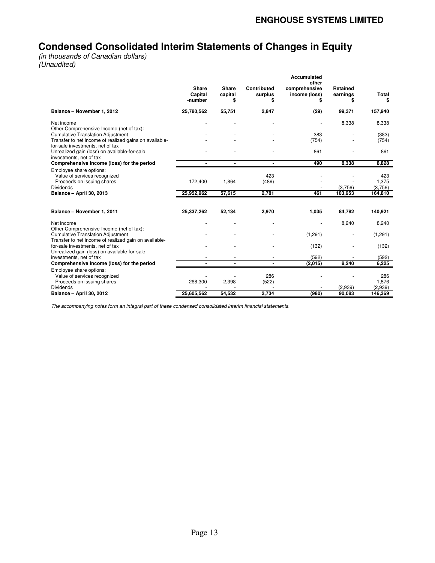# **Condensed Consolidated Interim Statements of Changes in Equity**

*(in thousands of Canadian dollars) (Unaudited)* 

|                                                                                                   |                             |                        |                              | Accumulated<br>other                |                                  |                    |
|---------------------------------------------------------------------------------------------------|-----------------------------|------------------------|------------------------------|-------------------------------------|----------------------------------|--------------------|
|                                                                                                   | Share<br>Capital<br>-number | Share<br>capital<br>\$ | Contributed<br>surplus<br>\$ | comprehensive<br>income (loss)<br>S | <b>Retained</b><br>earnings<br>S | Total<br>\$        |
| Balance - November 1, 2012                                                                        | 25,780,562                  | 55,751                 | 2,847                        | (29)                                | 99,371                           | 157,940            |
| Net income<br>Other Comprehensive Income (net of tax):                                            |                             |                        |                              |                                     | 8,338                            | 8,338              |
| <b>Cumulative Translation Adjustment</b>                                                          |                             |                        |                              | 383                                 |                                  | (383)              |
| Transfer to net income of realized gains on available-<br>for-sale investments, net of tax        |                             |                        |                              | (754)                               |                                  | (754)              |
| Unrealized gain (loss) on available-for-sale<br>investments, net of tax                           |                             |                        |                              | 861                                 |                                  | 861                |
| Comprehensive income (loss) for the period                                                        |                             | $\blacksquare$         |                              | 490                                 | 8,338                            | 8,828              |
| Employee share options:<br>Value of services recognized                                           |                             |                        | 423                          |                                     |                                  | 423                |
| Proceeds on issuing shares                                                                        | 172,400                     | 1,864                  | (489)                        |                                     |                                  | 1,375              |
| <b>Dividends</b><br><b>Balance - April 30, 2013</b>                                               | 25,952,962                  | 57,615                 | 2,781                        | 461                                 | (3,756)<br>103,953               | (3,756)<br>164,810 |
|                                                                                                   |                             |                        |                              |                                     |                                  |                    |
|                                                                                                   |                             |                        |                              |                                     |                                  |                    |
| Balance - November 1, 2011                                                                        | 25,337,262                  | 52,134                 | 2,970                        | 1,035                               | 84,782                           | 140,921            |
| Net income<br>Other Comprehensive Income (net of tax):                                            |                             |                        |                              |                                     | 8,240                            | 8,240              |
| <b>Cumulative Translation Adjustment</b><br>Transfer to net income of realized gain on available- |                             |                        |                              | (1, 291)                            |                                  | (1, 291)           |
| for-sale investments, net of tax<br>Unrealized gain (loss) on available-for-sale                  |                             |                        |                              | (132)                               |                                  | (132)              |
| investments, net of tax                                                                           |                             |                        |                              | (592)                               |                                  | (592)              |
| Comprehensive income (loss) for the period                                                        | $\blacksquare$              | $\blacksquare$         |                              | (2,015)                             | 8,240                            | 6,225              |
| Employee share options:                                                                           |                             |                        |                              |                                     |                                  |                    |
| Value of services recognized                                                                      |                             |                        | 286                          |                                     |                                  | 286                |
| Proceeds on issuing shares<br><b>Dividends</b>                                                    | 268,300                     | 2,398                  | (522)                        |                                     |                                  | 1,876              |
| <b>Balance - April 30, 2012</b>                                                                   | 25,605,562                  | 54,532                 | 2,734                        | (980)                               | (2,939)<br>90,083                | (2,939)<br>146,369 |
|                                                                                                   |                             |                        |                              |                                     |                                  |                    |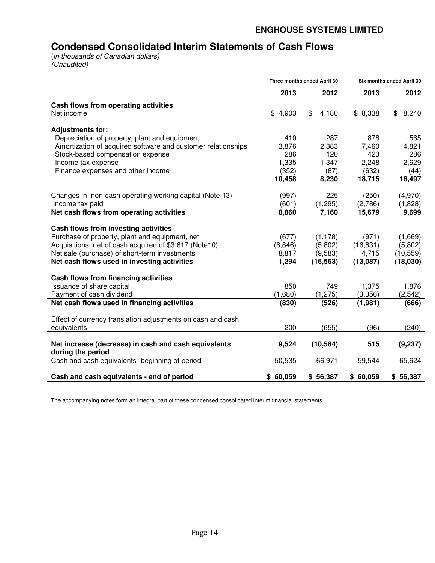# **Condensed Consolidated Interim Statements of Cash Flows**

(*in thousands of Canadian dollars) (Unaudited)* 

|                                                                           | Three months ended April 30 |             | Six months ended April 30 |             |
|---------------------------------------------------------------------------|-----------------------------|-------------|---------------------------|-------------|
|                                                                           | 2013                        | 2012        | 2013                      | 2012        |
| Cash flows from operating activities                                      |                             |             |                           |             |
| Net income                                                                | \$4,903                     | \$<br>4,180 | \$8,338                   | 8,240<br>\$ |
| <b>Adjustments for:</b>                                                   |                             |             |                           |             |
| Depreciation of property, plant and equipment                             | 410                         | 287         | 878                       | 565         |
| Amortization of acquired software and customer relationships              | 3,876                       | 2,383       | 7,460                     | 4,821       |
| Stock-based compensation expense                                          | 286                         | 120         | 423                       | 286         |
| Income tax expense                                                        | 1,335                       | 1,347       | 2,248                     | 2,629       |
| Finance expenses and other income                                         | (352)                       | (87)        | (632)                     | (44)        |
|                                                                           | 10,458                      | 8,230       | 18,715                    | 16,497      |
| Changes in non-cash operating working capital (Note 13)                   | (997)                       | 225         | (250)                     | (4,970)     |
| Income tax paid                                                           | (601)                       | (1, 295)    | (2,786)                   | (1,828)     |
| Net cash flows from operating activities                                  | 8,860                       | 7,160       | 15,679                    | 9,699       |
| Cash flows from investing activities                                      |                             |             |                           |             |
| Purchase of property, plant and equipment, net                            | (677)                       | (1, 178)    | (971)                     | (1,669)     |
| Acquisitions, net of cash acquired of \$3,617 (Note10)                    | (6, 846)                    | (5,802)     | (16, 831)                 | (5,802)     |
| Net sale (purchase) of short-term investments                             | 8,817                       | (9,583)     | 4,715                     | (10, 559)   |
| Net cash flows used in investing activities                               | 1,294                       | (16, 563)   | (13,087)                  | (18,030)    |
| Cash flows from financing activities                                      |                             |             |                           |             |
| Issuance of share capital                                                 | 850                         | 749         | 1,375                     | 1,876       |
| Payment of cash dividend                                                  | (1,680)                     | (1, 275)    | (3,356)                   | (2, 542)    |
| Net cash flows used in financing activities                               | (830)                       | (526)       | (1,981)                   | (666)       |
| Effect of currency translation adjustments on cash and cash               |                             |             |                           |             |
| equivalents                                                               | 200                         | (655)       | (96)                      | (240)       |
| Net increase (decrease) in cash and cash equivalents<br>during the period | 9,524                       | (10, 584)   | 515                       | (9,237)     |
| Cash and cash equivalents- beginning of period                            | 50,535                      | 66,971      | 59,544                    | 65,624      |
| Cash and cash equivalents - end of period                                 | \$60,059                    | \$56,387    | \$60,059                  | \$56,387    |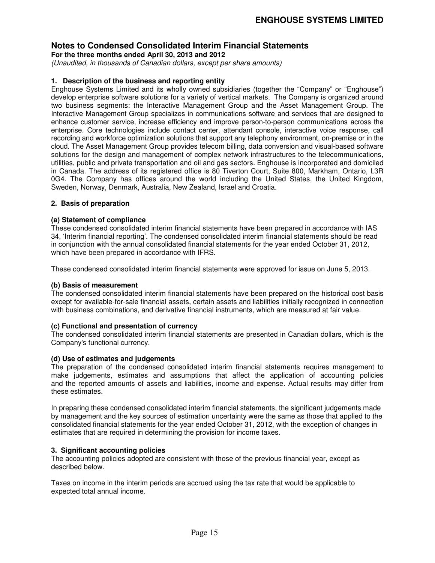**For the three months ended April 30, 2013 and 2012** 

*(Unaudited, in thousands of Canadian dollars, except per share amounts)* 

#### **1. Description of the business and reporting entity**

Enghouse Systems Limited and its wholly owned subsidiaries (together the "Company" or "Enghouse") develop enterprise software solutions for a variety of vertical markets. The Company is organized around two business segments: the Interactive Management Group and the Asset Management Group. The Interactive Management Group specializes in communications software and services that are designed to enhance customer service, increase efficiency and improve person-to-person communications across the enterprise. Core technologies include contact center, attendant console, interactive voice response, call recording and workforce optimization solutions that support any telephony environment, on-premise or in the cloud. The Asset Management Group provides telecom billing, data conversion and visual-based software solutions for the design and management of complex network infrastructures to the telecommunications, utilities, public and private transportation and oil and gas sectors. Enghouse is incorporated and domiciled in Canada. The address of its registered office is 80 Tiverton Court, Suite 800, Markham, Ontario, L3R 0G4. The Company has offices around the world including the United States, the United Kingdom, Sweden, Norway, Denmark, Australia, New Zealand, Israel and Croatia.

#### **2. Basis of preparation**

#### **(a) Statement of compliance**

These condensed consolidated interim financial statements have been prepared in accordance with IAS 34, 'Interim financial reporting'. The condensed consolidated interim financial statements should be read in conjunction with the annual consolidated financial statements for the year ended October 31, 2012, which have been prepared in accordance with IFRS.

These condensed consolidated interim financial statements were approved for issue on June 5, 2013.

#### **(b) Basis of measurement**

The condensed consolidated interim financial statements have been prepared on the historical cost basis except for available-for-sale financial assets, certain assets and liabilities initially recognized in connection with business combinations, and derivative financial instruments, which are measured at fair value.

#### **(c) Functional and presentation of currency**

The condensed consolidated interim financial statements are presented in Canadian dollars, which is the Company's functional currency.

#### **(d) Use of estimates and judgements**

The preparation of the condensed consolidated interim financial statements requires management to make judgements, estimates and assumptions that affect the application of accounting policies and the reported amounts of assets and liabilities, income and expense. Actual results may differ from these estimates.

In preparing these condensed consolidated interim financial statements, the significant judgements made by management and the key sources of estimation uncertainty were the same as those that applied to the consolidated financial statements for the year ended October 31, 2012, with the exception of changes in estimates that are required in determining the provision for income taxes.

#### **3. Significant accounting policies**

The accounting policies adopted are consistent with those of the previous financial year, except as described below.

Taxes on income in the interim periods are accrued using the tax rate that would be applicable to expected total annual income.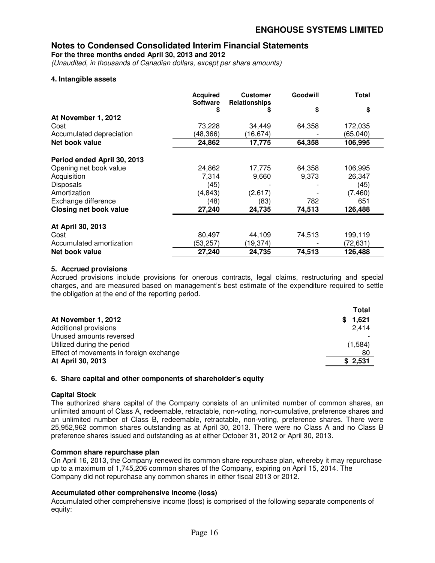**For the three months ended April 30, 2013 and 2012** 

*(Unaudited, in thousands of Canadian dollars, except per share amounts)* 

#### **4. Intangible assets**

|                               | <b>Acquired</b><br><b>Software</b> | <b>Customer</b><br>Relationships | Goodwill | <b>Total</b> |
|-------------------------------|------------------------------------|----------------------------------|----------|--------------|
|                               | \$                                 |                                  | \$       | \$           |
| At November 1, 2012           |                                    |                                  |          |              |
| Cost                          | 73,228                             | 34,449                           | 64,358   | 172,035      |
| Accumulated depreciation      | (48, 366)                          | (16,674                          |          | (65,040)     |
| Net book value                | 24,862                             | 17,775                           | 64,358   | 106,995      |
| Period ended April 30, 2013   |                                    |                                  |          |              |
| Opening net book value        | 24,862                             | 17,775                           | 64,358   | 106,995      |
| Acquisition                   | 7,314                              | 9,660                            | 9,373    | 26,347       |
| Disposals                     | (45)                               |                                  |          | (45)         |
| Amortization                  | (4, 843)                           | (2,617)                          |          | (7, 460)     |
| Exchange difference           | (48)                               | (83)                             | 782      | 651          |
| <b>Closing net book value</b> | 27,240                             | 24,735                           | 74,513   | 126,488      |
| At April 30, 2013             |                                    |                                  |          |              |
| Cost                          | 80,497                             | 44,109                           | 74,513   | 199,119      |
| Accumulated amortization      | (53,257)                           | (19,374)                         |          | (72,631)     |
| Net book value                | 27,240                             | 24,735                           | 74,513   | 126,488      |

#### **5. Accrued provisions**

Accrued provisions include provisions for onerous contracts, legal claims, restructuring and special charges, and are measured based on management's best estimate of the expenditure required to settle the obligation at the end of the reporting period.

|                                         | Total   |
|-----------------------------------------|---------|
| At November 1, 2012                     | \$1,621 |
| Additional provisions                   | 2.414   |
| Unused amounts reversed                 |         |
| Utilized during the period              | (1,584) |
| Effect of movements in foreign exchange | 80      |
| At April 30, 2013                       | \$2.531 |

#### **6. Share capital and other components of shareholder's equity**

#### **Capital Stock**

The authorized share capital of the Company consists of an unlimited number of common shares, an unlimited amount of Class A, redeemable, retractable, non-voting, non-cumulative, preference shares and an unlimited number of Class B, redeemable, retractable, non-voting, preference shares. There were 25,952,962 common shares outstanding as at April 30, 2013. There were no Class A and no Class B preference shares issued and outstanding as at either October 31, 2012 or April 30, 2013.

#### **Common share repurchase plan**

On April 16, 2013, the Company renewed its common share repurchase plan, whereby it may repurchase up to a maximum of 1,745,206 common shares of the Company, expiring on April 15, 2014. The Company did not repurchase any common shares in either fiscal 2013 or 2012.

#### **Accumulated other comprehensive income (loss)**

Accumulated other comprehensive income (loss) is comprised of the following separate components of equity: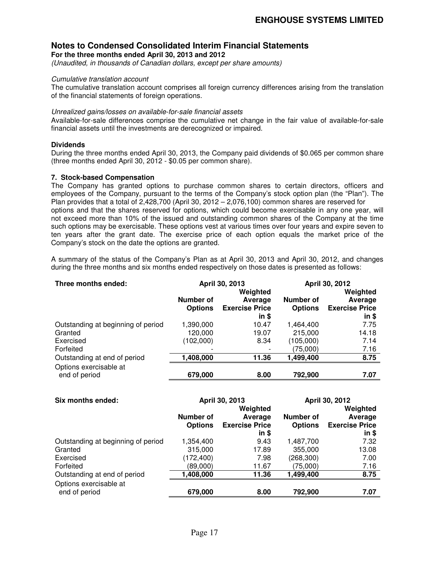**For the three months ended April 30, 2013 and 2012** 

*(Unaudited, in thousands of Canadian dollars, except per share amounts)* 

#### *Cumulative translation account*

The cumulative translation account comprises all foreign currency differences arising from the translation of the financial statements of foreign operations.

#### *Unrealized gains/losses on available-for-sale financial assets*

Available-for-sale differences comprise the cumulative net change in the fair value of available-for-sale financial assets until the investments are derecognized or impaired.

#### **Dividends**

During the three months ended April 30, 2013, the Company paid dividends of \$0.065 per common share (three months ended April 30, 2012 - \$0.05 per common share).

#### **7. Stock-based Compensation**

The Company has granted options to purchase common shares to certain directors, officers and employees of the Company, pursuant to the terms of the Company's stock option plan (the "Plan"). The Plan provides that a total of  $2,428,700$  (April 30,  $2012 - 2,076,100$ ) common shares are reserved for options and that the shares reserved for options, which could become exercisable in any one year, will not exceed more than 10% of the issued and outstanding common shares of the Company at the time such options may be exercisable. These options vest at various times over four years and expire seven to ten years after the grant date. The exercise price of each option equals the market price of the Company's stock on the date the options are granted.

A summary of the status of the Company's Plan as at April 30, 2013 and April 30, 2012, and changes during the three months and six months ended respectively on those dates is presented as follows:

| Three months ended:                     |                             | April 30, 2013                               | April 30, 2012              |                                              |  |
|-----------------------------------------|-----------------------------|----------------------------------------------|-----------------------------|----------------------------------------------|--|
|                                         | Number of<br><b>Options</b> | Weighted<br>Average<br><b>Exercise Price</b> | Number of<br><b>Options</b> | Weighted<br>Average<br><b>Exercise Price</b> |  |
|                                         |                             | $in$ \$                                      |                             | $in$ \$                                      |  |
| Outstanding at beginning of period      | 1,390,000                   | 10.47                                        | 1,464,400                   | 7.75                                         |  |
| Granted                                 | 120,000                     | 19.07                                        | 215,000                     | 14.18                                        |  |
| Exercised                               | (102,000)                   | 8.34                                         | (105,000)                   | 7.14                                         |  |
| Forfeited                               |                             |                                              | (75,000)                    | 7.16                                         |  |
| Outstanding at end of period            | 1,408,000                   | 11.36                                        | 1,499,400                   | 8.75                                         |  |
| Options exercisable at<br>end of period | 679,000                     | 8.00                                         | 792,900                     | 7.07                                         |  |

| Six months ended:                  |                | April 30, 2013        | April 30, 2012 |                       |  |
|------------------------------------|----------------|-----------------------|----------------|-----------------------|--|
|                                    |                | Weighted              |                | Weighted              |  |
|                                    | Number of      | Average               | Number of      | Average               |  |
|                                    | <b>Options</b> | <b>Exercise Price</b> | <b>Options</b> | <b>Exercise Price</b> |  |
|                                    |                | in \$                 |                | in                    |  |
| Outstanding at beginning of period | 1,354,400      | 9.43                  | 1,487,700      | 7.32                  |  |
| Granted                            | 315,000        | 17.89                 | 355,000        | 13.08                 |  |
| Exercised                          | (172,400)      | 7.98                  | (268, 300)     | 7.00                  |  |
| Forfeited                          | (89,000)       | 11.67                 | (75,000)       | 7.16                  |  |
| Outstanding at end of period       | 1,408,000      | 11.36                 | 1,499,400      | 8.75                  |  |
| Options exercisable at             |                |                       |                |                       |  |
| end of period                      | 679,000        | 8.00                  | 792,900        | 7.07                  |  |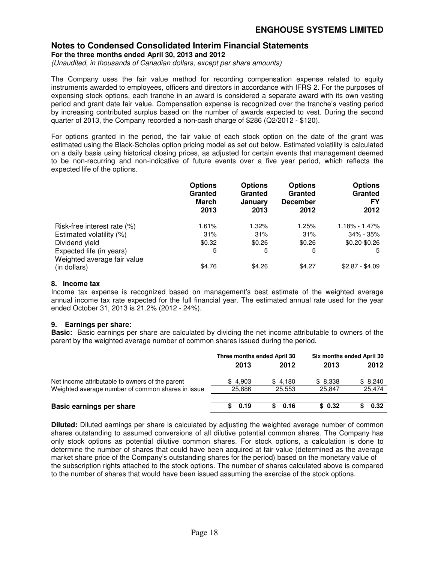**For the three months ended April 30, 2013 and 2012** 

*(Unaudited, in thousands of Canadian dollars, except per share amounts)* 

The Company uses the fair value method for recording compensation expense related to equity instruments awarded to employees, officers and directors in accordance with IFRS 2. For the purposes of expensing stock options, each tranche in an award is considered a separate award with its own vesting period and grant date fair value. Compensation expense is recognized over the tranche's vesting period by increasing contributed surplus based on the number of awards expected to vest. During the second quarter of 2013, the Company recorded a non-cash charge of \$286 (Q2/2012 - \$120).

For options granted in the period, the fair value of each stock option on the date of the grant was estimated using the Black-Scholes option pricing model as set out below. Estimated volatility is calculated on a daily basis using historical closing prices, as adjusted for certain events that management deemed to be non-recurring and non-indicative of future events over a five year period, which reflects the expected life of the options.

|                                             | <b>Options</b><br>Granted<br><b>March</b><br>2013 | <b>Options</b><br>Granted<br><b>January</b><br>2013 | <b>Options</b><br>Granted<br><b>December</b><br>2012 | <b>Options</b><br>Granted<br>FY<br>2012 |
|---------------------------------------------|---------------------------------------------------|-----------------------------------------------------|------------------------------------------------------|-----------------------------------------|
| Risk-free interest rate (%)                 | 1.61%                                             | 1.32%                                               | 1.25%                                                | $1.18\% - 1.47\%$                       |
| Estimated volatility (%)                    | 31%                                               | 31%                                                 | 31%                                                  | 34% - 35%                               |
| Dividend yield                              | \$0.32                                            | \$0.26                                              | \$0.26                                               | $$0.20 - $0.26$                         |
| Expected life (in years)                    | 5                                                 | 5                                                   | 5                                                    | 5                                       |
| Weighted average fair value<br>(in dollars) | \$4.76                                            | \$4.26                                              | \$4.27                                               | $$2.87 - $4.09$                         |

#### **8. Income tax**

Income tax expense is recognized based on management's best estimate of the weighted average annual income tax rate expected for the full financial year. The estimated annual rate used for the year ended October 31, 2013 is 21.2% (2012 - 24%).

#### **9. Earnings per share:**

**Basic:** Basic earnings per share are calculated by dividing the net income attributable to owners of the parent by the weighted average number of common shares issued during the period.

|                                                   | Three months ended April 30 |            | Six months ended April 30 |         |  |
|---------------------------------------------------|-----------------------------|------------|---------------------------|---------|--|
|                                                   | 2013                        | 2012       | 2013                      | 2012    |  |
| Net income attributable to owners of the parent   | \$4,903                     | \$4.180    | \$8,338                   | \$8,240 |  |
| Weighted average number of common shares in issue | 25.886                      | 25.553     | 25.847                    | 25,474  |  |
| Basic earnings per share                          | \$0.19                      | 0.16<br>S. | \$0.32                    | 0.32    |  |
|                                                   |                             |            |                           |         |  |

**Diluted:** Diluted earnings per share is calculated by adjusting the weighted average number of common shares outstanding to assumed conversions of all dilutive potential common shares. The Company has only stock options as potential dilutive common shares. For stock options, a calculation is done to determine the number of shares that could have been acquired at fair value (determined as the average market share price of the Company's outstanding shares for the period) based on the monetary value of the subscription rights attached to the stock options. The number of shares calculated above is compared to the number of shares that would have been issued assuming the exercise of the stock options.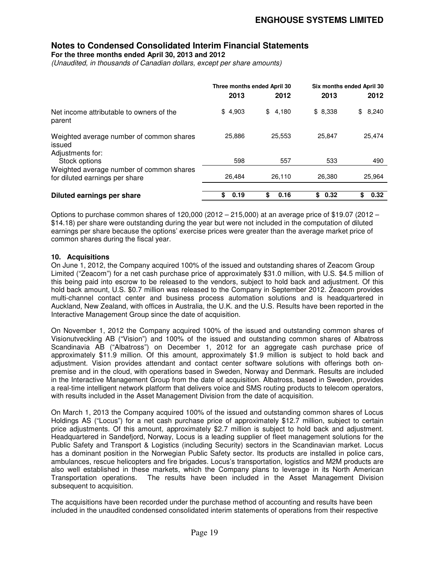**For the three months ended April 30, 2013 and 2012** 

*(Unaudited, in thousands of Canadian dollars, except per share amounts)* 

|                                                                            | Three months ended April 30 |            | Six months ended April 30 |             |  |
|----------------------------------------------------------------------------|-----------------------------|------------|---------------------------|-------------|--|
|                                                                            | 2013                        | 2012       | 2013                      | 2012        |  |
| Net income attributable to owners of the<br>parent                         | \$4,903                     | \$4,180    | \$8,338                   | 8,240<br>\$ |  |
| Weighted average number of common shares<br>issued                         | 25,886                      | 25,553     | 25,847                    | 25,474      |  |
| Adjustments for:<br>Stock options                                          | 598                         | 557        | 533                       | 490         |  |
| Weighted average number of common shares<br>for diluted earnings per share | 26.484                      | 26.110     | 26,380                    | 25,964      |  |
| Diluted earnings per share                                                 | \$<br>0.19                  | 0.16<br>\$ | 0.32<br>\$                | 0.32        |  |

Options to purchase common shares of 120,000 (2012 – 215,000) at an average price of \$19.07 (2012 – \$14.18) per share were outstanding during the year but were not included in the computation of diluted earnings per share because the options' exercise prices were greater than the average market price of common shares during the fiscal year.

#### **10. Acquisitions**

On June 1, 2012, the Company acquired 100% of the issued and outstanding shares of Zeacom Group Limited ("Zeacom") for a net cash purchase price of approximately \$31.0 million, with U.S. \$4.5 million of this being paid into escrow to be released to the vendors, subject to hold back and adjustment. Of this hold back amount, U.S. \$0.7 million was released to the Company in September 2012. Zeacom provides multi-channel contact center and business process automation solutions and is headquartered in Auckland, New Zealand, with offices in Australia, the U.K. and the U.S. Results have been reported in the Interactive Management Group since the date of acquisition.

On November 1, 2012 the Company acquired 100% of the issued and outstanding common shares of Visionutveckling AB ("Vision") and 100% of the issued and outstanding common shares of Albatross Scandinavia AB ("Albatross") on December 1, 2012 for an aggregate cash purchase price of approximately \$11.9 million. Of this amount, approximately \$1.9 million is subject to hold back and adjustment. Vision provides attendant and contact center software solutions with offerings both onpremise and in the cloud, with operations based in Sweden, Norway and Denmark. Results are included in the Interactive Management Group from the date of acquisition. Albatross, based in Sweden, provides a real-time intelligent network platform that delivers voice and SMS routing products to telecom operators, with results included in the Asset Management Division from the date of acquisition.

On March 1, 2013 the Company acquired 100% of the issued and outstanding common shares of Locus Holdings AS ("Locus") for a net cash purchase price of approximately \$12.7 million, subject to certain price adjustments. Of this amount, approximately \$2.7 million is subject to hold back and adjustment. Headquartered in Sandefjord, Norway, Locus is a leading supplier of fleet management solutions for the Public Safety and Transport & Logistics (including Security) sectors in the Scandinavian market. Locus has a dominant position in the Norwegian Public Safety sector. Its products are installed in police cars, ambulances, rescue helicopters and fire brigades. Locus's transportation, logistics and M2M products are also well established in these markets, which the Company plans to leverage in its North American Transportation operations. The results have been included in the Asset Management Division subsequent to acquisition.

The acquisitions have been recorded under the purchase method of accounting and results have been included in the unaudited condensed consolidated interim statements of operations from their respective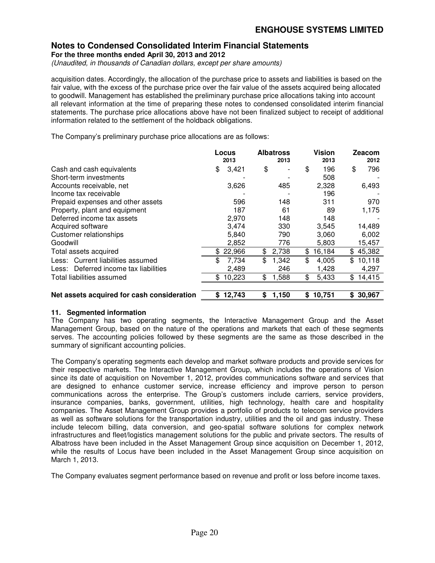**For the three months ended April 30, 2013 and 2012** 

*(Unaudited, in thousands of Canadian dollars, except per share amounts)* 

acquisition dates. Accordingly, the allocation of the purchase price to assets and liabilities is based on the fair value, with the excess of the purchase price over the fair value of the assets acquired being allocated to goodwill. Management has established the preliminary purchase price allocations taking into account all relevant information at the time of preparing these notes to condensed consolidated interim financial statements. The purchase price allocations above have not been finalized subject to receipt of additional information related to the settlement of the holdback obligations.

The Company's preliminary purchase price allocations are as follows:

|                                            |     | Locus<br>2013 |    | <b>Albatross</b><br>2013 | <b>Vision</b><br>2013 | Zeacom<br>2012 |
|--------------------------------------------|-----|---------------|----|--------------------------|-----------------------|----------------|
| Cash and cash equivalents                  | \$  | 3,421         | \$ |                          | \$<br>196             | \$<br>796      |
| Short-term investments                     |     |               |    |                          | 508                   |                |
| Accounts receivable, net                   |     | 3,626         |    | 485                      | 2,328                 | 6,493          |
| Income tax receivable                      |     |               |    |                          | 196                   |                |
| Prepaid expenses and other assets          |     | 596           |    | 148                      | 311                   | 970            |
| Property, plant and equipment              |     | 187           |    | 61                       | 89                    | 1,175          |
| Deferred income tax assets                 |     | 2,970         |    | 148                      | 148                   |                |
| Acquired software                          |     | 3,474         |    | 330                      | 3,545                 | 14,489         |
| Customer relationships                     |     | 5,840         |    | 790                      | 3,060                 | 6,002          |
| Goodwill                                   |     | 2,852         |    | 776                      | 5,803                 | 15,457         |
| Total assets acquired                      | \$. | 22,966        | \$ | 2,738                    | \$<br>16,184          | \$<br>45,382   |
| Less: Current liabilities assumed          | \$  | 7,734         | \$ | 1,342                    | \$<br>4,005           | \$<br>10,118   |
| Less: Deferred income tax liabilities      |     | 2,489         |    | 246                      | 1,428                 | 4,297          |
| Total liabilities assumed                  | \$. | 10,223        | \$ | 1,588                    | \$<br>5,433           | \$<br>14,415   |
| Net assets acquired for cash consideration | S   | 12,743        | S  | 1,150                    | \$<br>10,751          | \$<br>30,967   |

#### **11. Segmented information**

The Company has two operating segments, the Interactive Management Group and the Asset Management Group, based on the nature of the operations and markets that each of these segments serves. The accounting policies followed by these segments are the same as those described in the summary of significant accounting policies.

The Company's operating segments each develop and market software products and provide services for their respective markets. The Interactive Management Group, which includes the operations of Vision since its date of acquisition on November 1, 2012, provides communications software and services that are designed to enhance customer service, increase efficiency and improve person to person communications across the enterprise. The Group's customers include carriers, service providers, insurance companies, banks, government, utilities, high technology, health care and hospitality companies. The Asset Management Group provides a portfolio of products to telecom service providers as well as software solutions for the transportation industry, utilities and the oil and gas industry. These include telecom billing, data conversion, and geo-spatial software solutions for complex network infrastructures and fleet/logistics management solutions for the public and private sectors. The results of Albatross have been included in the Asset Management Group since acquisition on December 1, 2012, while the results of Locus have been included in the Asset Management Group since acquisition on March 1, 2013.

The Company evaluates segment performance based on revenue and profit or loss before income taxes.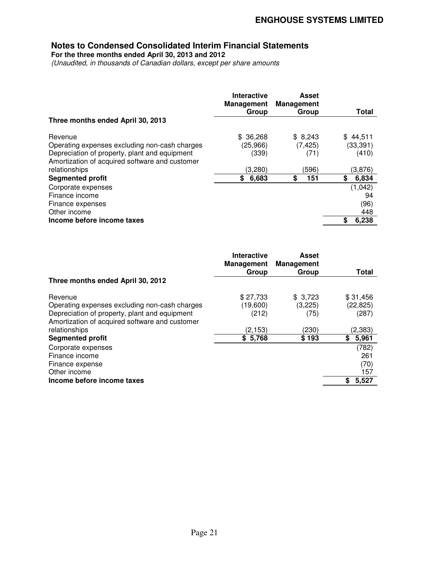**For the three months ended April 30, 2013 and 2012** 

*(Unaudited, in thousands of Canadian dollars, except per share amounts* 

|                                                                                                                                                                                                         | Interactive<br><b>Management</b><br>Group           | Asset<br><b>Management</b><br>Group               | Total                                                    |
|---------------------------------------------------------------------------------------------------------------------------------------------------------------------------------------------------------|-----------------------------------------------------|---------------------------------------------------|----------------------------------------------------------|
| Three months ended April 30, 2013                                                                                                                                                                       |                                                     |                                                   |                                                          |
| Revenue<br>Operating expenses excluding non-cash charges<br>Depreciation of property, plant and equipment<br>Amortization of acquired software and customer<br>relationships<br><b>Segmented profit</b> | \$36,268<br>(25,966)<br>(339)<br>(3,280)<br>\$6,683 | \$8,243<br>(7, 425)<br>(71)<br>(596)<br>\$<br>151 | \$44,511<br>(33, 391)<br>(410)<br>(3,876)<br>\$<br>6,834 |
| Corporate expenses<br>Finance income<br>Finance expenses<br>Other income<br>Income before income taxes                                                                                                  |                                                     |                                                   | (1,042)<br>94<br>(96)<br>448<br>6,238<br>S               |

|                                                                                                                                                                              | Interactive<br><b>Management</b><br>Group | <b>Asset</b><br><b>Management</b><br>Group | Total                                     |
|------------------------------------------------------------------------------------------------------------------------------------------------------------------------------|-------------------------------------------|--------------------------------------------|-------------------------------------------|
| Three months ended April 30, 2012                                                                                                                                            |                                           |                                            |                                           |
| Revenue<br>Operating expenses excluding non-cash charges<br>Depreciation of property, plant and equipment<br>Amortization of acquired software and customer<br>relationships | \$27,733<br>(19,600)<br>(212)<br>(2,153)  | \$3,723<br>(3,225)<br>(75)<br>(230)        | \$31,456<br>(22, 825)<br>(287)<br>(2,383) |
| <b>Segmented profit</b>                                                                                                                                                      | \$5,768                                   | \$193                                      | 5,961<br>\$                               |
| Corporate expenses<br>Finance income<br>Finance expense<br>Other income                                                                                                      |                                           |                                            | (782)<br>261<br>(70)<br>157               |
| Income before income taxes                                                                                                                                                   |                                           |                                            | 5,527<br>S.                               |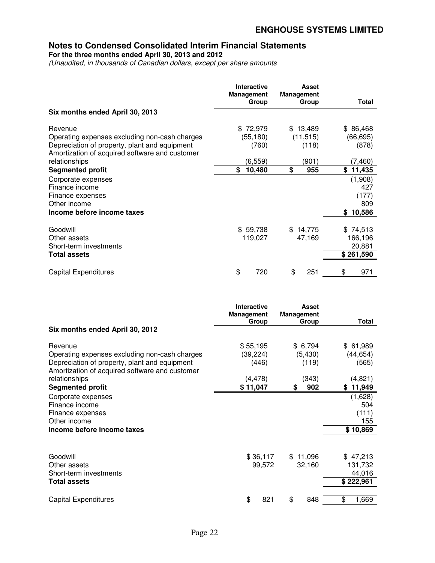**For the three months ended April 30, 2013 and 2012** 

*(Unaudited, in thousands of Canadian dollars, except per share amounts* 

|                                                                                                           | Interactive<br><b>Management</b><br>Group | <b>Asset</b><br><b>Management</b><br>Group | Total                                      |
|-----------------------------------------------------------------------------------------------------------|-------------------------------------------|--------------------------------------------|--------------------------------------------|
| Six months ended April 30, 2013                                                                           |                                           |                                            |                                            |
| Revenue<br>Operating expenses excluding non-cash charges<br>Depreciation of property, plant and equipment | \$72,979<br>(55,180)<br>(760)             | \$13,489<br>(11, 515)<br>(118)             | \$86,468<br>(66, 695)<br>(878)             |
| Amortization of acquired software and customer<br>relationships<br><b>Segmented profit</b>                | (6, 559)<br>\$<br>10,480                  | (901)<br>\$<br>955                         | (7, 460)<br>\$11,435                       |
| Corporate expenses<br>Finance income<br>Finance expenses<br>Other income                                  |                                           |                                            | (1,908)<br>427<br>(177)<br>809             |
| Income before income taxes                                                                                |                                           |                                            | \$10,586                                   |
| Goodwill<br>Other assets<br>Short-term investments<br><b>Total assets</b>                                 | \$59,738<br>119,027                       | \$14,775<br>47,169                         | \$74,513<br>166,196<br>20,881<br>\$261,590 |
| <b>Capital Expenditures</b>                                                                               | \$<br>720                                 | \$<br>251                                  | 971<br>\$                                  |

|                                                                                                                                                             | <b>Interactive</b><br><b>Management</b> | <b>Asset</b><br><b>Management</b> |                                            |
|-------------------------------------------------------------------------------------------------------------------------------------------------------------|-----------------------------------------|-----------------------------------|--------------------------------------------|
| Six months ended April 30, 2012                                                                                                                             | Group                                   | Group                             | Total                                      |
| Revenue<br>Operating expenses excluding non-cash charges<br>Depreciation of property, plant and equipment<br>Amortization of acquired software and customer | \$55,195<br>(39, 224)<br>(446)          | \$6,794<br>(5, 430)<br>(119)      | \$61,989<br>(44, 654)<br>(565)             |
| relationships                                                                                                                                               | (4, 478)                                | (343)                             | (4,821)                                    |
| <b>Segmented profit</b>                                                                                                                                     | \$11,047                                | \$<br>902                         | \$<br>11,949                               |
| Corporate expenses<br>Finance income<br>Finance expenses<br>Other income                                                                                    |                                         |                                   | (1,628)<br>504<br>(111)<br>155             |
| Income before income taxes                                                                                                                                  |                                         |                                   | \$10,869                                   |
| Goodwill<br>Other assets<br>Short-term investments<br><b>Total assets</b>                                                                                   | \$36,117<br>99,572                      | \$11,096<br>32,160                | \$47,213<br>131,732<br>44,016<br>\$222,961 |
| <b>Capital Expenditures</b>                                                                                                                                 | \$<br>821                               | \$<br>848                         | \$<br>1,669                                |